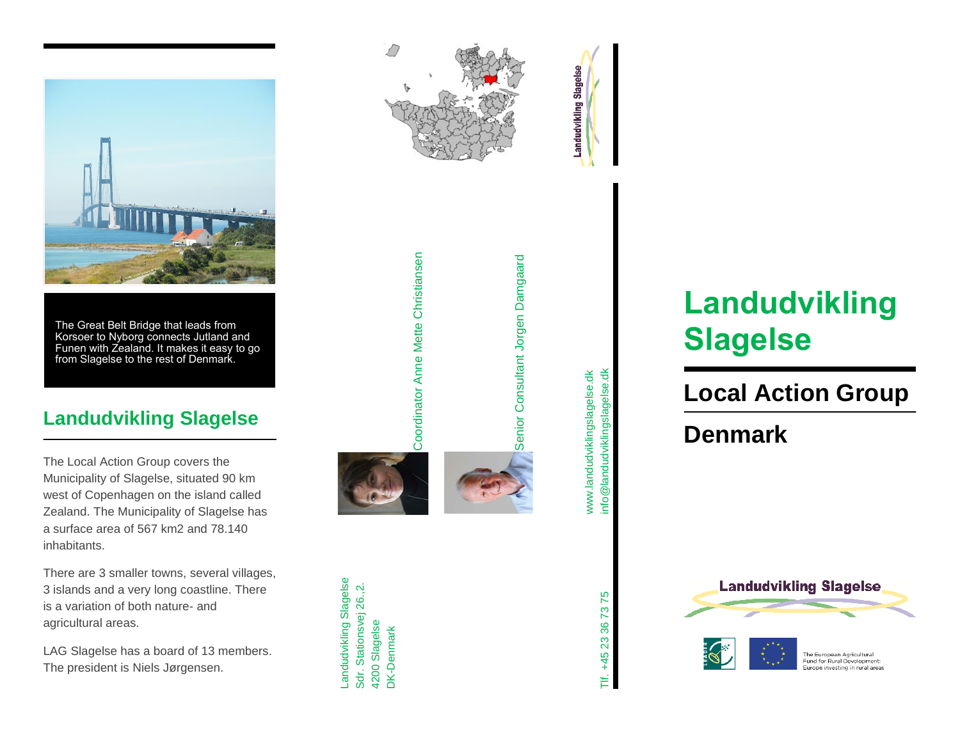

The Great Belt Bridge that leads from Korsoer to Nyborg connects Jutland and Funen with Zealand. It makes it easy to go from Slagelse to the rest of Denmark.

#### **Landudvikling Slagelse**

The Local Action Group covers the Municipality of Slagelse, situated 90 km west of Copenhagen on the island called Zealand. The Municipality of Slagelse has a surface area of 567 km2 and 78.140 inhabitants.

There are 3 smaller towns, several villages, 3 islands and a very long coastline. There is a variation of both nature - and agricultural areas.

LAG Slagelse has a board of 13 members. The president is Niels Jørgensen .



Coordinator Anne Mette Christiansen

Coordinator Anne Mette Christiansen

Landudvikling Slagelse Sdr. Stationsvej 26.,2. 4200 Slagelse DK-Denmark

Sdr. Stationsvej 26.,2.

Landudvikling Slagelse



Senior Consultant Jorgen Damgaard

Senior Consultant Jorgen Damgaard

info@landudviklingslagelse.dk info@landudviklingslagelse.dk www.landudviklingslagelse.dk www.landudviklingslagelse.dk

# **Landudvikling Slagelse**

## **Local Action Group**

### **Denmark**